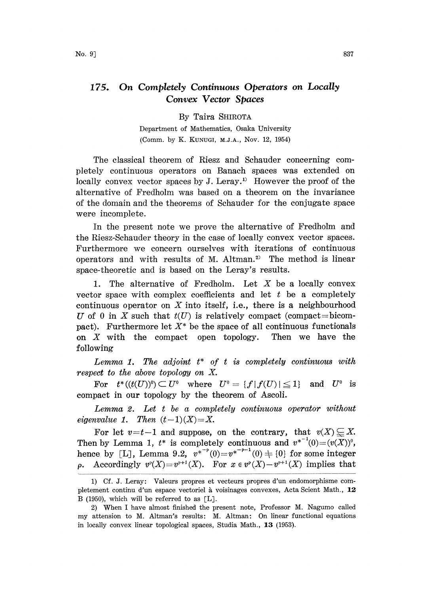## 175. On Completely Continuous Operators on Locally Convex Vector Spaces

By Taira SHIROTA

Department of Mathematics, Osaka University (Comm. by K. KUNUG, M.J.A., Nov. 12, 1954)

The classical theorem of Riesz and Schauder concerning completely continuous operators on Banach spaces was extended on locally convex vector spaces by J. Leray.<sup>1)</sup> However the proof of the alternative of Fredholm was based on a theorem on the invariance of the domain and the theorems of Schauder for the conjugate space were incomplete.

In the present note we prove the alternative of Fredholm and the Riesz-Schauder theory in the case of locally convex vector spaces. Furthermore we concern ourselves with iterations of continuous operators and with results of M. Altman.<sup>2)</sup> The method is linear space-theoretic and is based on the Leray's results.

1. The alternative of Fredholm. Let  $X$  be a locally convex vector space with complex coefficients and let  $t$  be a completely continuous operator on  $X$  into itself, i.e., there is a neighbourhood U of 0 in X such that  $t(U)$  is relatively compact (compact=bicompact). Furthermore let  $X^*$  be the space of all continuous functionals on  $X$  with the compact open topology. Then we have the following

Lemma 1. The adjoint  $t^*$  of  $t$  is completely continuous with respect to the above topology on X.

For  $t^*((t(U))^0) \subset U^0$  where  $U^0 = \{f | f(U) | \leq 1\}$  and  $U^0$  is pact in our topology by the theorem of Ascoli. compact in our topology by the theorem of Ascoli.

Lemma 2. Let <sup>t</sup> be a completely continuous operator without eigenvalue 1. Then  $(t-1)(X)=X$ .

For let  $v=t-1$  and suppose, on the contrary, that  $v(X) \subseteq X$ . Then by Lemma 1,  $t^*$  is completely continuous and  $v^{*-1}(0)=(v(X))^0$ , hence by [L], Lemma 9.2,  $v^{*^{-p}}(0)=v^{*^{-p-1}}(0) + \{0\}$  for some integer **p.** Accordingly  $v^{\rho}(X)=v^{\rho+1}(X)$ . For  $x \in v^{\rho}(X)-v^{\rho+1}(X)$  implies that

<sup>1)</sup> Cf. J. Leray'. Valeurs propres et vecteurs propres d'un endomorphisme completement continu d'un espace vectoriel à voisinages convexes, Acta Scient Math., 12 B (1950), which will be referred to as  $[L]$ .

<sup>2)</sup> When <sup>I</sup> have almost finished the present note, Professor M. Nagumo called my attension to M. Altman's results: M. Altman: On linear functional equations in locally convex linear topological spaces, Studia Math., 13 (1953).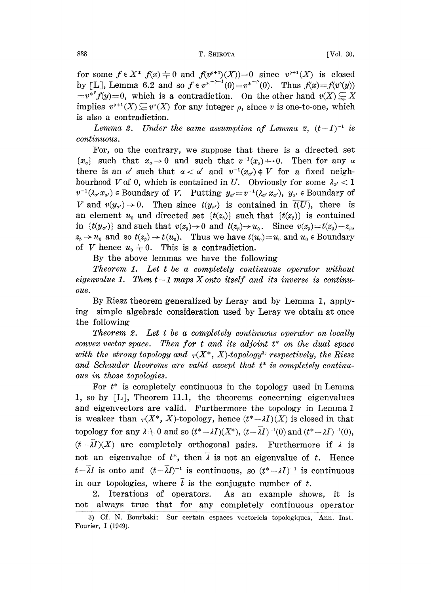## 838 **T. SHIROTA T. SHIROTA CONSUMING T**

for some  $f \in X^*$   $f(x) \neq 0$  and  $f(v^{p+1})(X) = 0$  since  $v^{p+1}(X)$  is closed by [L], Lemma 6.2 and so  $f \in v^{*-p-1}(0)=v^{*-p}(0)$ . Thus  $f(x)=f(v^p(y))$  $=v^{*}f(y)=0$ , which is a contradiction. On the other hand  $v(X) \subseteq X$ implies  $v^{p+1}(X) \subseteq v^p(X)$  for any integer  $\rho$ , since v is one-to-one, which is also a contradiction.

Lemma 3. Under the same assumption of Lemma 2,  $(t-I)^{-1}$  is inuous. continuous.

For, on the contrary, we suppose that there is a directed set  ${x<sub>a</sub>}$  such that  $x<sub>a</sub> \to 0$  and such that  $v<sup>-1</sup>(x<sub>a</sub>) \to 0$ . Then for any  $\alpha$ there is an a' such that  $a < a'$  and  $v^{-1}(x_{a'}) \notin V$  for a fixed neighbourhood V of 0, which is contained in U. Obviously for some  $\lambda_{\alpha'} < 1$  $v^{-1}(\lambda_{\alpha},x_{\alpha'})$   $\in$  Boundary of V. Putting  $y_{\alpha'}=v^{-1}(\lambda_{\alpha},x_{\alpha'})$ ,  $y_{\alpha'}\in$  Boundary of V and  $v(y_{\alpha'}) \rightarrow 0$ . Then since  $t(y_{\alpha'})$  is contained in  $\overline{t(U)}$ , there is an element  $u_0$  and directed set  $\{t(z_0)\}\$  such that  $\{t(z_0)\}\$  is contained in  $\{t(y_{\alpha'})\}$  and such that  $v(z_{\beta})\to 0$  and  $t(z_{\beta})\to u_0$ . Since  $v(z_{\beta})=t(z_{\beta})-z_{\beta}$ ,  $z_{\beta} \rightarrow u_0$  and so  $t(z_{\beta}) \rightarrow t(u_0)$ . Thus we have  $t(u_0)=u_0$  and  $u_0 \in$  Boundary of V hence  $u_0 \neq 0$ . This is a contradiction.

By the above lemmas we have the following

Theorem 1. Let <sup>t</sup> be a completely continuous operator without eigenvalue 1. Then  $t-1$  maps X onto itself and its inverse is continuous.

By Riesz theorem generalized by Leray and by Lemma 1, applying simple algebraic consideration used by Leray we obtain at once the following

Theorem 2. Let <sup>t</sup> be a completely continuous operator on locally convex vector space. Then for  $t$  and its adjoint  $t^*$  on the dual space with the strong topology and  $\tau(X^*, X)$ -topology<sup>3</sup> respectively, the Riesz and Schauder theorems are valid except that  $t^*$  is completely continuous in those topologies.

For  $t^*$  is completely continuous in the topology used in Lemma 1, so by  $[L]$ , Theorem 11.1, the theorems concerning eigenvalues and eigenvectors are valid. Furthermore the topology in Lemma <sup>1</sup> is weaker than  $\tau(X^*, X)$ -topology, hence  $(t^*-\lambda I)(X)$  is closed in that topology for any  $\lambda \neq 0$  and so  $(t^* - \lambda I)(X^*)$ ,  $(t - \lambda I)^{-1}(0)$  and  $(t^* - \lambda I)^{-1}(0)$ ,  $(t-\overline{\lambda}I)(X)$  are completely orthogonal pairs. Furthermore if  $\lambda$  is not an eigenvalue of  $t^*$ , then  $\overline{\lambda}$  is not an eigenvalue of t. Hence  $t-\overline{\lambda}I$  is onto and  $(t-\overline{\lambda}I)^{-1}$  is continuous, so  $(t^*-\lambda I)^{-1}$  is continuous<br>in our topologies, where  $\overline{t}$  is the conjugate number of t  $t-\lambda I$  is onto and  $(t-\lambda I)^{-1}$  is continuous, so  $(t^*-\lambda I)^{-1}$  is  $\lambda I$  in our topologies, where  $\bar{t}$  is the conjugate number of  $t$ .

2. Iterations of operators. As an example shows, it is not always true that for any completely continuous operator

<sup>3)</sup> Cf. N. Bourbaki: Sur certain espaces vectoriels topologiques, Ann. Inst. Fourier, I (1949).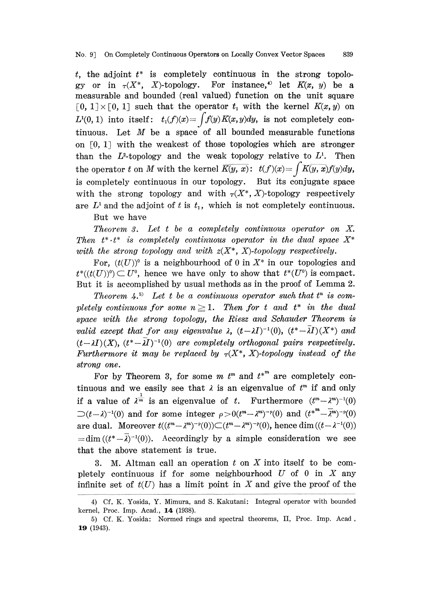t, the adjoint  $t^*$  is completely continuous in the strong topology or in  $\tau(X^*, X)$ -topology. For instance,<sup>4)</sup> let  $K(x, y)$  be a measurable and bounded (real valued) function on the unit square  $[0, 1] \times [0, 1]$  such that the operator  $t_1$  with the kernel  $K(x, y)$  on  $L^1(0, 1)$  into itself:  $t_1(f)(x) = \int f(y)K(x, y)dy$ , is not completely continuous. Let  $M$  be a space of all bounded measurable functions on  $[0, 1]$  with the weakest of those topologies which are stronger than the  $L^2$ -topology and the weak topology relative to  $L^1$ . Then the operator t on M with the kernel  $\overline{K(y, x)}$ :  $t(f)(x) = \int K(y, x)f(y)dy$ , is completely continuous in our topology. But its conjugate space with the strong topology and with  $\tau(X^*, X)$ -topology respectively are  $L^1$  and the adjoint of t is  $t_1$ , which is not completely continuous.

But we have

Theorem 3. Let <sup>t</sup> be a completely continuous operator on X. Then  $t^* \tcdot t^*$  is completely continuous operator in the dual space  $X^*$ with the strong topology and with  $z(X^*, X)$ -topology respectively.

For,  $(t(U))^0$  is a neighbourhood of 0 in  $X^*$  in our topologies and  $t^*((t(U))^0) \subset U^0$ , hence we have only to show that  $t^*(U^0)$  is compact. But it is accomplished by usual methods as in the proof of Lemma 2.

Theorem 4.<sup>5</sup> Let t be a continuous operator such that  $t^n$  is completely continuous for some  $n \geq 1$ . Then for t and  $t^*$  in the dual space with the strong topology, the Riesz and Schauder Theorem is valid except that for any eigenvalue  $\lambda$ ,  $(t-\lambda I)^{-1}(0)$ ,  $(t^*-\lambda I)(X^*)$  and  $(t-\lambda I)(X)$ ,  $(t^*-\overline{\lambda I})^{-1}(0)$  are completely orthogonal pairs respectively.  $(t-\lambda I)(X)$ ,  $(t^*-\lambda I)^{-1}(0)$  are completely orthogonal pairs respectively.<br>Furthermore it may be replaced by  $\tau(X^*, X)$ -topology instead of the strong one.

For by Theorem 3, for some m  $t^m$  and  $t^{*^m}$  are completely continuous and we easily see that  $\lambda$  is an eigenvalue of  $t^m$  if and only if a value of  $\lambda^{\frac{1}{m}}$  is an eigenvalue of t. Furthermore  $(t^m - \lambda^m)^{-1}(0)$  $\supset (t-\lambda)^{-1}(0)$  and for some integer  $\rho>0(t^m-\lambda^m)^{-p}(0)$  and  $(t^{*m}-\overline{\lambda}{}^m)^{-p}(0)$ are dual. Moreover  $t((t^m - \lambda^m)^{-p}(0)) \subset (t^m - \lambda^m)^{-p}(0)$ , hence dim  $((t - \lambda^{-1}(0)))$ <br>= dim  $((t^* - \overline{\lambda})^{-1}(0))$ . Accordingly by a simple consideration we see are dual. Moreover  $t((t^m - \lambda^m)^{-p}(0)) \subset (t^m - \lambda^m)^{-p}(0)$ , hence dim $((t - \lambda^{-1}(0)))$ <br>= dim $((t^* - \overline{\lambda})^{-1}(0))$ . Accordingly by a simple consideration we see that the above statement is true.

3. M. Altman call an operation  $t$  on  $X$  into itself to be completely continuous if for some neighbourhood  $U$  of 0 in  $X$  any infinite set of  $t(U)$  has a limit point in X and give the proof of the

<sup>4)</sup> Cf. K. Yosida, Y. Mimura, and S. Kakutani: Integral operator with bounded kernel, Proc. Imp. Acad., 14 (1938).

<sup>5)</sup> Cf. K. Yosida: Normed rings and spectral theorems, II, Proc. Imp. Acad, 19 (1943).